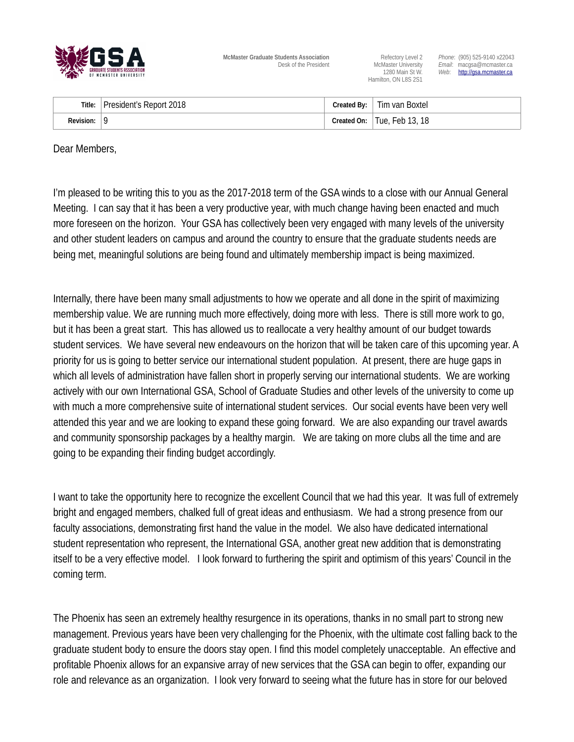

**McMaster Graduate Students Association**<br>Desk of the President McMaster University Email: macgsa@mcmaster.ca

Hamilton, ON L8S 2S1

Desk of the President McMaster University *Email*: macgsa@mcmaster.ca 1280 Main St W. **Web:** [http://gsa.mcmaster.ca](http://gsa.mcmaster.ca/)

| Title:           | President's Report 2018 | Created By: $\vert$ | Tim van Boxtel                |
|------------------|-------------------------|---------------------|-------------------------------|
| <b>Revision:</b> | 9                       |                     | Created On:   Tue, Feb 13, 18 |

Dear Members,

I'm pleased to be writing this to you as the 2017-2018 term of the GSA winds to a close with our Annual General Meeting. I can say that it has been a very productive year, with much change having been enacted and much more foreseen on the horizon. Your GSA has collectively been very engaged with many levels of the university and other student leaders on campus and around the country to ensure that the graduate students needs are being met, meaningful solutions are being found and ultimately membership impact is being maximized.

Internally, there have been many small adjustments to how we operate and all done in the spirit of maximizing membership value. We are running much more effectively, doing more with less. There is still more work to go, but it has been a great start. This has allowed us to reallocate a very healthy amount of our budget towards student services. We have several new endeavours on the horizon that will be taken care of this upcoming year. A priority for us is going to better service our international student population. At present, there are huge gaps in which all levels of administration have fallen short in properly serving our international students. We are working actively with our own International GSA, School of Graduate Studies and other levels of the university to come up with much a more comprehensive suite of international student services. Our social events have been very well attended this year and we are looking to expand these going forward. We are also expanding our travel awards and community sponsorship packages by a healthy margin. We are taking on more clubs all the time and are going to be expanding their finding budget accordingly.

I want to take the opportunity here to recognize the excellent Council that we had this year. It was full of extremely bright and engaged members, chalked full of great ideas and enthusiasm. We had a strong presence from our faculty associations, demonstrating first hand the value in the model. We also have dedicated international student representation who represent, the International GSA, another great new addition that is demonstrating itself to be a very effective model. I look forward to furthering the spirit and optimism of this years' Council in the coming term.

The Phoenix has seen an extremely healthy resurgence in its operations, thanks in no small part to strong new management. Previous years have been very challenging for the Phoenix, with the ultimate cost falling back to the graduate student body to ensure the doors stay open. I find this model completely unacceptable. An effective and profitable Phoenix allows for an expansive array of new services that the GSA can begin to offer, expanding our role and relevance as an organization. I look very forward to seeing what the future has in store for our beloved